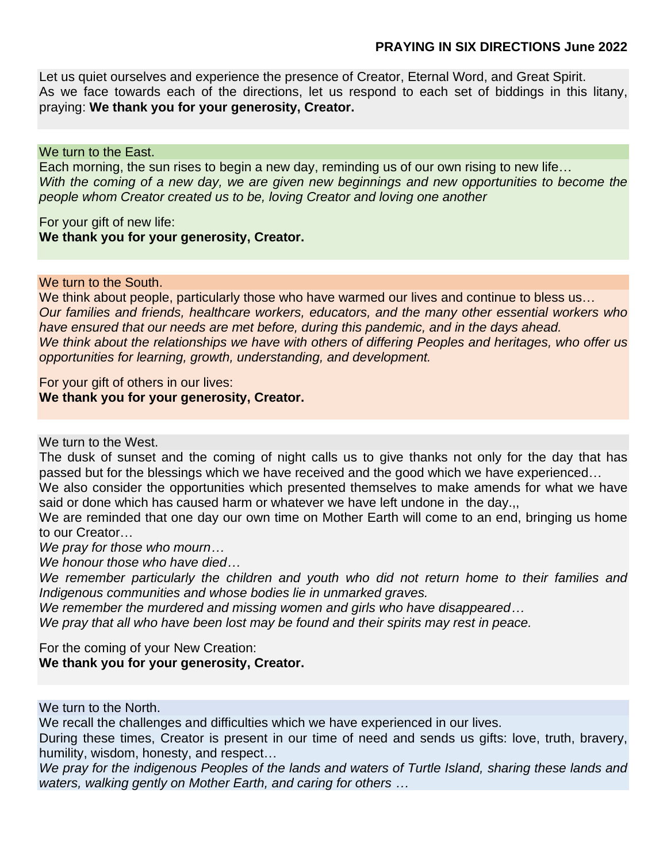## **PRAYING IN SIX DIRECTIONS June 2022**

Let us quiet ourselves and experience the presence of Creator, Eternal Word, and Great Spirit. As we face towards each of the directions, let us respond to each set of biddings in this litany, praying: **We thank you for your generosity, Creator.**

## We turn to the East.

Each morning, the sun rises to begin a new day, reminding us of our own rising to new life… *With the coming of a new day, we are given new beginnings and new opportunities to become the people whom Creator created us to be, loving Creator and loving one another*

For your gift of new life: **We thank you for your generosity, Creator.**

## We turn to the South.

We think about people, particularly those who have warmed our lives and continue to bless us... *Our families and friends, healthcare workers, educators, and the many other essential workers who have ensured that our needs are met before, during this pandemic, and in the days ahead. We think about the relationships we have with others of differing Peoples and heritages, who offer us opportunities for learning, growth, understanding, and development.*

For your gift of others in our lives: **We thank you for your generosity, Creator.**

We turn to the West.

The dusk of sunset and the coming of night calls us to give thanks not only for the day that has passed but for the blessings which we have received and the good which we have experienced…

We also consider the opportunities which presented themselves to make amends for what we have said or done which has caused harm or whatever we have left undone in the day.,,

We are reminded that one day our own time on Mother Earth will come to an end, bringing us home to our Creator…

*We pray for those who mourn…*

*We honour those who have died…* 

*We remember particularly the children and youth who did not return home to their families and Indigenous communities and whose bodies lie in unmarked graves.* 

*We remember the murdered and missing women and girls who have disappeared…*

*We pray that all who have been lost may be found and their spirits may rest in peace.*

For the coming of your New Creation:

**We thank you for your generosity, Creator.**

We turn to the North.

We recall the challenges and difficulties which we have experienced in our lives.

During these times, Creator is present in our time of need and sends us gifts: love, truth, bravery, humility, wisdom, honesty, and respect…

*We pray for the indigenous Peoples of the lands and waters of Turtle Island, sharing these lands and waters, walking gently on Mother Earth, and caring for others …*